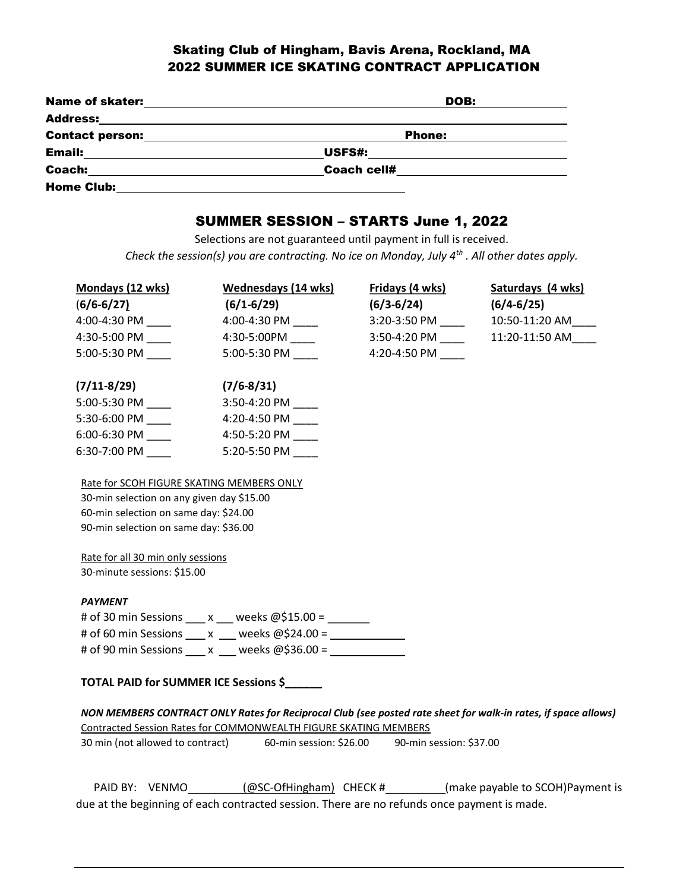# Skating Club of Hingham, Bavis Arena, Rockland, MA 2022 SUMMER ICE SKATING CONTRACT APPLICATION

| <b>Name of skater:</b> | DOB:               |  |
|------------------------|--------------------|--|
| <b>Address:</b>        |                    |  |
| <b>Contact person:</b> | Phone:             |  |
| <b>Email:</b>          | USFS#:             |  |
| Coach:                 | <b>Coach cell#</b> |  |
| <b>Home Club:</b>      |                    |  |

## SUMMER SESSION – STARTS June 1, 2022

Selections are not guaranteed until payment in full is received. Check the session(s) you are contracting. No ice on Monday, July  $4^{th}$ . All other dates apply.

| Mondays (12 wks) | Wednesdays (14 wks) | Fridays (4 wks) | Saturdays (4 wks) |
|------------------|---------------------|-----------------|-------------------|
| $(6/6 - 6/27)$   | $(6/1 - 6/29)$      | $(6/3 - 6/24)$  | $(6/4 - 6/25)$    |
| 4:00-4:30 PM     | 4:00-4:30 PM        | 3:20-3:50 PM    | 10:50-11:20 AM    |
| 4:30-5:00 PM     | 4:30-5:00PM         | $3:50-4:20$ PM  | 11:20-11:50 AM    |
| 5:00-5:30 PM     | 5:00-5:30 PM        | 4:20-4:50 PM    |                   |
|                  |                     |                 |                   |
| $(7/11 - 8/29)$  | $(7/6 - 8/31)$      |                 |                   |
| 5:00-5:30 PM     | $3:50-4:20$ PM      |                 |                   |
| 5:30-6:00 PM     | 4:20-4:50 PM        |                 |                   |
| $6:00-6:30$ PM   | 4:50-5:20 PM        |                 |                   |
| $6:30-7:00$ PM   | 5:20-5:50 PM        |                 |                   |
|                  |                     |                 |                   |

### Rate for SCOH FIGURE SKATING MEMBERS ONLY

30-min selection on any given day \$15.00 60-min selection on same day: \$24.00 90-min selection on same day: \$36.00

Rate for all 30 min only sessions 30-minute sessions: \$15.00

### PAYMENT

# of 30 min Sessions  $x = x$  weeks  $@515.00 =$ # of 60 min Sessions  $x = x$  weeks  $@524.00 =$ # of 90 min Sessions  $x = x$  weeks  $@536.00 =$ 

## TOTAL PAID for SUMMER ICE Sessions \$\_\_\_\_\_\_

| NON MEMBERS CONTRACT ONLY Rates for Reciprocal Club (see posted rate sheet for walk-in rates, if space allows) |                         |                         |  |  |  |
|----------------------------------------------------------------------------------------------------------------|-------------------------|-------------------------|--|--|--|
| Contracted Session Rates for COMMONWEALTH FIGURE SKATING MEMBERS                                               |                         |                         |  |  |  |
| 30 min (not allowed to contract)                                                                               | 60-min session: \$26.00 | 90-min session: \$37.00 |  |  |  |

| PAID BY: VENMO                                                                              | (@SC-OfHingham) CHECK # | (make payable to SCOH)Payment is |  |  |  |
|---------------------------------------------------------------------------------------------|-------------------------|----------------------------------|--|--|--|
| due at the beginning of each contracted session. There are no refunds once payment is made. |                         |                                  |  |  |  |